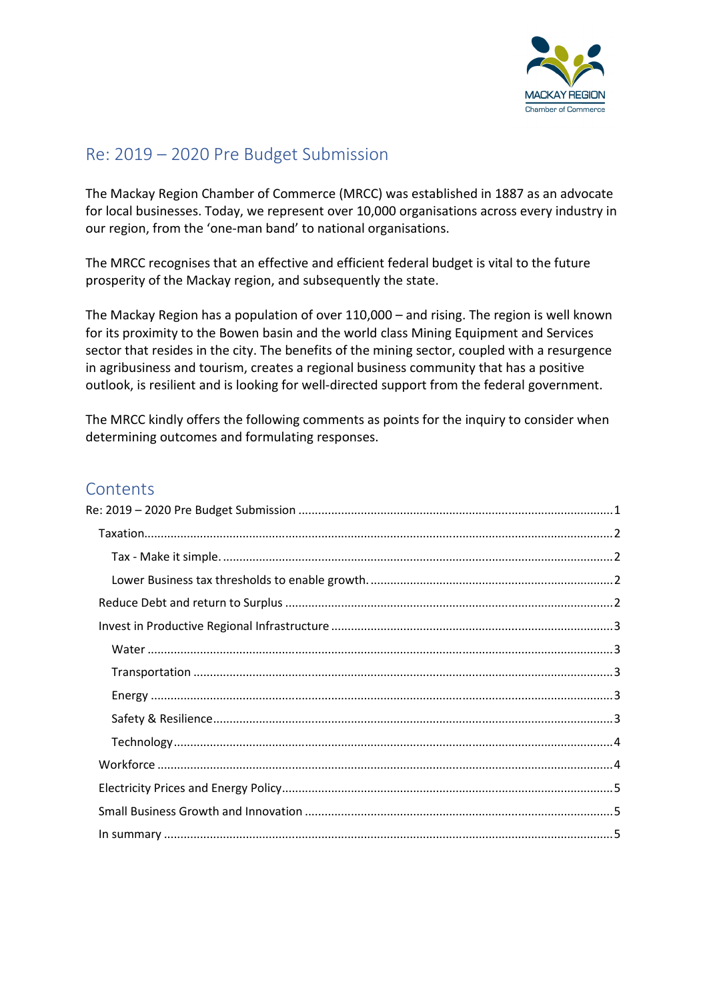

# Re: 2019 – 2020 Pre Budget Submission

The Mackay Region Chamber of Commerce (MRCC) was established in 1887 as an advocate for local businesses. Today, we represent over 10,000 organisations across every industry in our region, from the 'one-man band' to national organisations.

The MRCC recognises that an effective and efficient federal budget is vital to the future prosperity of the Mackay region, and subsequently the state.

The Mackay Region has a population of over 110,000 – and rising. The region is well known for its proximity to the Bowen basin and the world class Mining Equipment and Services sector that resides in the city. The benefits of the mining sector, coupled with a resurgence in agribusiness and tourism, creates a regional business community that has a positive outlook, is resilient and is looking for well-directed support from the federal government.

The MRCC kindly offers the following comments as points for the inquiry to consider when determining outcomes and formulating responses.

## **Contents**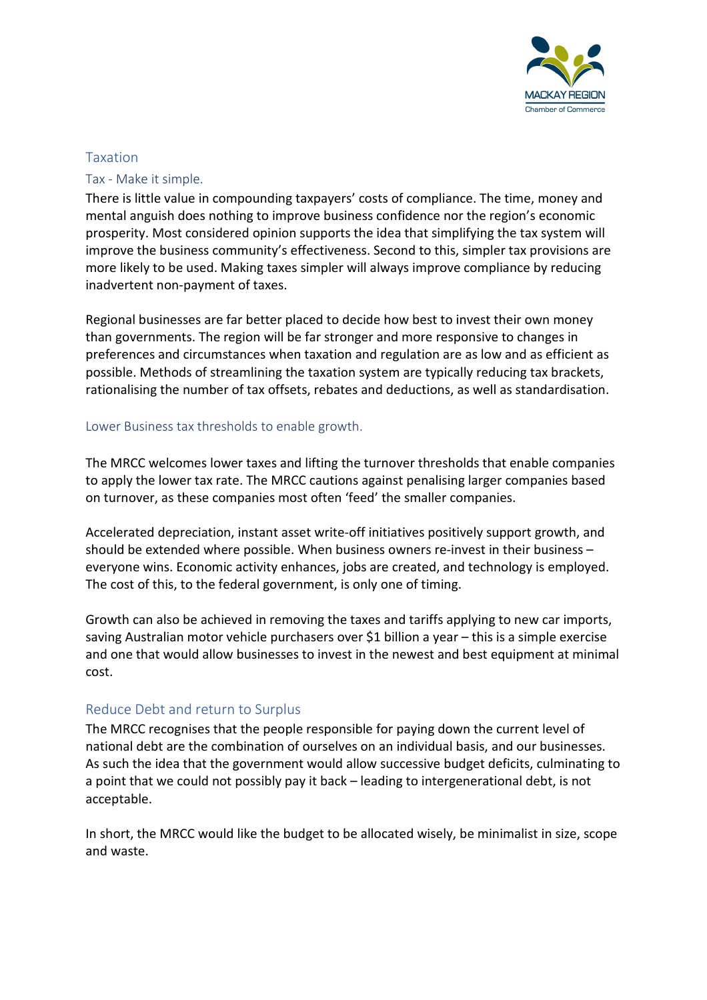

#### Taxation

#### Tax - Make it simple.

There is little value in compounding taxpayers' costs of compliance. The time, money and mental anguish does nothing to improve business confidence nor the region's economic prosperity. Most considered opinion supports the idea that simplifying the tax system will improve the business community's effectiveness. Second to this, simpler tax provisions are more likely to be used. Making taxes simpler will always improve compliance by reducing inadvertent non-payment of taxes.

Regional businesses are far better placed to decide how best to invest their own money than governments. The region will be far stronger and more responsive to changes in preferences and circumstances when taxation and regulation are as low and as efficient as possible. Methods of streamlining the taxation system are typically reducing tax brackets, rationalising the number of tax offsets, rebates and deductions, as well as standardisation.

#### Lower Business tax thresholds to enable growth.

The MRCC welcomes lower taxes and lifting the turnover thresholds that enable companies to apply the lower tax rate. The MRCC cautions against penalising larger companies based on turnover, as these companies most often 'feed' the smaller companies.

Accelerated depreciation, instant asset write-off initiatives positively support growth, and should be extended where possible. When business owners re-invest in their business – everyone wins. Economic activity enhances, jobs are created, and technology is employed. The cost of this, to the federal government, is only one of timing.

Growth can also be achieved in removing the taxes and tariffs applying to new car imports, saving Australian motor vehicle purchasers over \$1 billion a year – this is a simple exercise and one that would allow businesses to invest in the newest and best equipment at minimal cost.

#### Reduce Debt and return to Surplus

The MRCC recognises that the people responsible for paying down the current level of national debt are the combination of ourselves on an individual basis, and our businesses. As such the idea that the government would allow successive budget deficits, culminating to a point that we could not possibly pay it back – leading to intergenerational debt, is not acceptable.

In short, the MRCC would like the budget to be allocated wisely, be minimalist in size, scope and waste.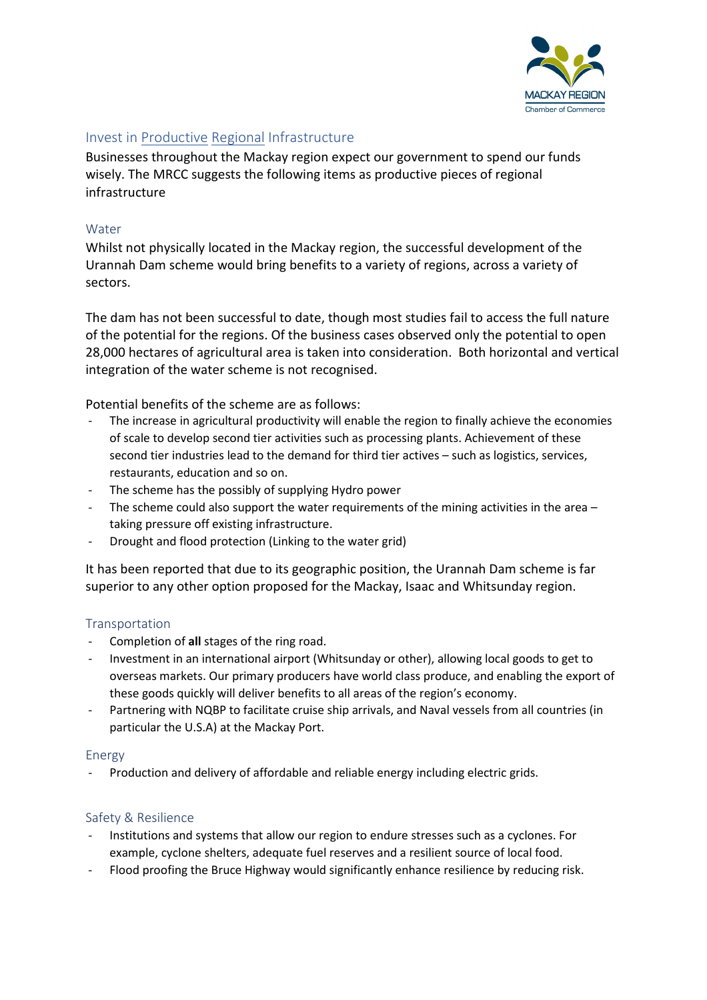

## Invest in Productive Regional Infrastructure

Businesses throughout the Mackay region expect our government to spend our funds wisely. The MRCC suggests the following items as productive pieces of regional infrastructure

#### Water

Whilst not physically located in the Mackay region, the successful development of the Urannah Dam scheme would bring benefits to a variety of regions, across a variety of sectors.

The dam has not been successful to date, though most studies fail to access the full nature of the potential for the regions. Of the business cases observed only the potential to open 28,000 hectares of agricultural area is taken into consideration. Both horizontal and vertical integration of the water scheme is not recognised.

Potential benefits of the scheme are as follows:

- The increase in agricultural productivity will enable the region to finally achieve the economies of scale to develop second tier activities such as processing plants. Achievement of these second tier industries lead to the demand for third tier actives – such as logistics, services, restaurants, education and so on.
- The scheme has the possibly of supplying Hydro power
- The scheme could also support the water requirements of the mining activities in the area  $$ taking pressure off existing infrastructure.
- Drought and flood protection (Linking to the water grid)

It has been reported that due to its geographic position, the Urannah Dam scheme is far superior to any other option proposed for the Mackay, Isaac and Whitsunday region.

#### **Transportation**

- Completion of all stages of the ring road.
- Investment in an international airport (Whitsunday or other), allowing local goods to get to overseas markets. Our primary producers have world class produce, and enabling the export of these goods quickly will deliver benefits to all areas of the region's economy.
- Partnering with NQBP to facilitate cruise ship arrivals, and Naval vessels from all countries (in particular the U.S.A) at the Mackay Port.

#### Energy

Production and delivery of affordable and reliable energy including electric grids.

#### Safety & Resilience

- Institutions and systems that allow our region to endure stresses such as a cyclones. For example, cyclone shelters, adequate fuel reserves and a resilient source of local food.
- Flood proofing the Bruce Highway would significantly enhance resilience by reducing risk.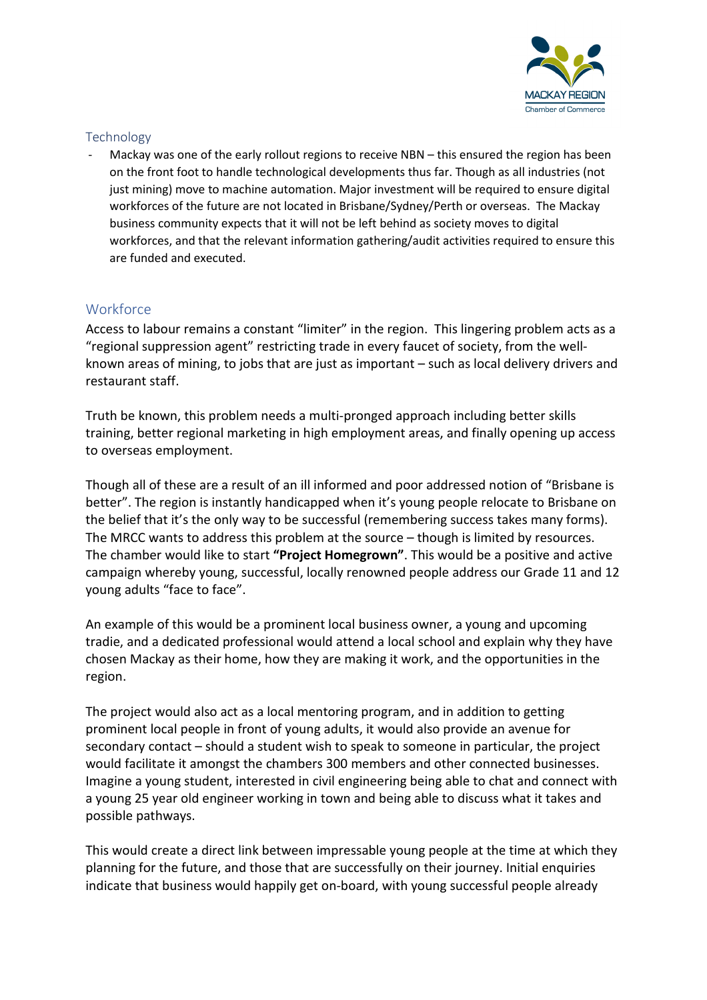

## Technology

Mackay was one of the early rollout regions to receive NBN – this ensured the region has been on the front foot to handle technological developments thus far. Though as all industries (not just mining) move to machine automation. Major investment will be required to ensure digital workforces of the future are not located in Brisbane/Sydney/Perth or overseas. The Mackay business community expects that it will not be left behind as society moves to digital workforces, and that the relevant information gathering/audit activities required to ensure this are funded and executed.

## **Workforce**

Access to labour remains a constant "limiter" in the region. This lingering problem acts as a "regional suppression agent" restricting trade in every faucet of society, from the wellknown areas of mining, to jobs that are just as important – such as local delivery drivers and restaurant staff.

Truth be known, this problem needs a multi-pronged approach including better skills training, better regional marketing in high employment areas, and finally opening up access to overseas employment.

Though all of these are a result of an ill informed and poor addressed notion of "Brisbane is better". The region is instantly handicapped when it's young people relocate to Brisbane on the belief that it's the only way to be successful (remembering success takes many forms). The MRCC wants to address this problem at the source – though is limited by resources. The chamber would like to start "Project Homegrown". This would be a positive and active campaign whereby young, successful, locally renowned people address our Grade 11 and 12 young adults "face to face".

An example of this would be a prominent local business owner, a young and upcoming tradie, and a dedicated professional would attend a local school and explain why they have chosen Mackay as their home, how they are making it work, and the opportunities in the region.

The project would also act as a local mentoring program, and in addition to getting prominent local people in front of young adults, it would also provide an avenue for secondary contact – should a student wish to speak to someone in particular, the project would facilitate it amongst the chambers 300 members and other connected businesses. Imagine a young student, interested in civil engineering being able to chat and connect with a young 25 year old engineer working in town and being able to discuss what it takes and possible pathways.

This would create a direct link between impressable young people at the time at which they planning for the future, and those that are successfully on their journey. Initial enquiries indicate that business would happily get on-board, with young successful people already